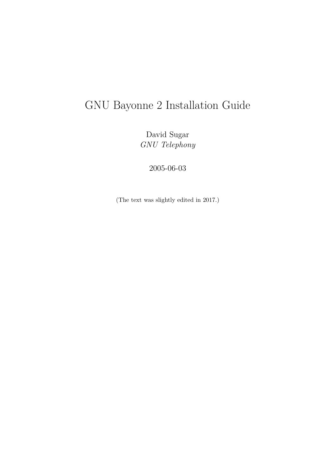# GNU Bayonne 2 Installation Guide

David Sugar *GNU Telephony*

2005-06-03

(The text was slightly edited in 2017.)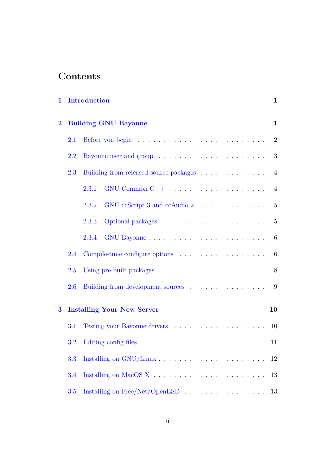# **Contents**

| 1                                             |     | Introduction                                                                                                                                                                                                                            | $\mathbf{1}$    |
|-----------------------------------------------|-----|-----------------------------------------------------------------------------------------------------------------------------------------------------------------------------------------------------------------------------------------|-----------------|
| <b>Building GNU Bayonne</b><br>$\overline{2}$ |     |                                                                                                                                                                                                                                         |                 |
|                                               | 2.1 |                                                                                                                                                                                                                                         | $\overline{2}$  |
|                                               | 2.2 |                                                                                                                                                                                                                                         | 3               |
|                                               | 2.3 | Building from released source packages                                                                                                                                                                                                  | $\overline{4}$  |
|                                               |     | 2.3.1                                                                                                                                                                                                                                   | $\overline{4}$  |
|                                               |     | GNU ccScript 3 and ccAudio $2 \ldots \ldots \ldots \ldots$<br>2.3.2                                                                                                                                                                     | $\overline{5}$  |
|                                               |     | Optional packages expansion of the contract of the contract of the contract of the contract of the contract of the contract of the contract of the contract of the contract of the contract of the contract of the contract of<br>2.3.3 | 5               |
|                                               |     | 2.3.4                                                                                                                                                                                                                                   | 6               |
|                                               | 2.4 |                                                                                                                                                                                                                                         | $6\phantom{.}6$ |
|                                               | 2.5 |                                                                                                                                                                                                                                         | 8               |
|                                               | 2.6 | Building from development sources                                                                                                                                                                                                       | 9               |
| $\bf{3}$                                      |     | <b>Installing Your New Server</b>                                                                                                                                                                                                       | 10              |
|                                               | 3.1 |                                                                                                                                                                                                                                         | 10              |
|                                               | 3.2 |                                                                                                                                                                                                                                         |                 |
|                                               | 3.3 | Installing on GNU/Linux                                                                                                                                                                                                                 | 12              |
|                                               | 3.4 |                                                                                                                                                                                                                                         | 13              |
|                                               | 3.5 |                                                                                                                                                                                                                                         | 13              |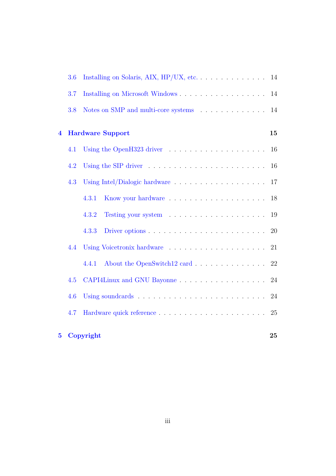|                         | 3.6 |                                                                                   |           |
|-------------------------|-----|-----------------------------------------------------------------------------------|-----------|
|                         | 3.7 |                                                                                   | 14        |
|                         | 3.8 | Notes on SMP and multi-core systems                                               | 14        |
| $\overline{\mathbf{4}}$ |     | <b>Hardware Support</b>                                                           | 15        |
|                         | 4.1 |                                                                                   | 16        |
|                         | 4.2 |                                                                                   | 16        |
|                         | 4.3 |                                                                                   | 17        |
|                         |     | 4.3.1                                                                             | 18        |
|                         |     | 4.3.2                                                                             | 19        |
|                         |     | Driver options $\ldots \ldots \ldots \ldots \ldots \ldots \ldots \ldots$<br>4.3.3 | <b>20</b> |
|                         | 4.4 | Using Voicetronix hardware                                                        | 21        |
|                         |     | About the OpenSwitch12 card 22<br>4.4.1                                           |           |
|                         | 4.5 | CAPI4Linux and GNU Bayonne                                                        | 24        |
|                         | 4.6 |                                                                                   | 24        |
|                         | 4.7 |                                                                                   | 25        |
| 5 <sup>5</sup>          |     | Copyright                                                                         | 25        |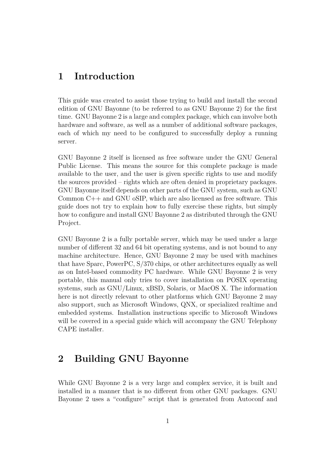# <span id="page-3-0"></span>**1 Introduction**

This guide was created to assist those trying to build and install the second edition of GNU Bayonne (to be referred to as GNU Bayonne 2) for the first time. GNU Bayonne 2 is a large and complex package, which can involve both hardware and software, as well as a number of additional software packages, each of which my need to be configured to successfully deploy a running server.

GNU Bayonne 2 itself is licensed as free software under the GNU General Public License. This means the source for this complete package is made available to the user, and the user is given specific rights to use and modify the sources provided – rights which are often denied in proprietary packages. GNU Bayonne itself depends on other parts of the GNU system, such as GNU Common C++ and GNU oSIP, which are also licensed as free software. This guide does not try to explain how to fully exercise these rights, but simply how to configure and install GNU Bayonne 2 as distributed through the GNU Project.

GNU Bayonne 2 is a fully portable server, which may be used under a large number of different 32 and 64 bit operating systems, and is not bound to any machine architecture. Hence, GNU Bayonne 2 may be used with machines that have Sparc, PowerPC, S/370 chips, or other architectures equally as well as on Intel-based commodity PC hardware. While GNU Bayonne 2 is very portable, this manual only tries to cover installation on POSIX operating systems, such as GNU/Linux, xBSD, Solaris, or MacOS X. The information here is not directly relevant to other platforms which GNU Bayonne 2 may also support, such as Microsoft Windows, QNX, or specialized realtime and embedded systems. Installation instructions specific to Microsoft Windows will be covered in a special guide which will accompany the GNU Telephony CAPE installer.

# <span id="page-3-1"></span>**2 Building GNU Bayonne**

While GNU Bayonne 2 is a very large and complex service, it is built and installed in a manner that is no different from other GNU packages. GNU Bayonne 2 uses a "configure" script that is generated from Autoconf and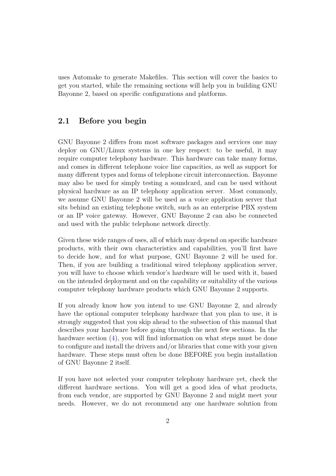uses Automake to generate Makefiles. This section will cover the basics to get you started, while the remaining sections will help you in building GNU Bayonne 2, based on specific configurations and platforms.

## <span id="page-4-0"></span>**2.1 Before you begin**

GNU Bayonne 2 differs from most software packages and services one may deploy on GNU/Linux systems in one key respect: to be useful, it may require computer telephony hardware. This hardware can take many forms, and comes in different telephone voice line capacities, as well as support for many different types and forms of telephone circuit interconnection. Bayonne may also be used for simply testing a soundcard, and can be used without physical hardware as an IP telephony application server. Most commonly, we assume GNU Bayonne 2 will be used as a voice application server that sits behind an existing telephone switch, such as an enterprise PBX system or an IP voice gateway. However, GNU Bayonne 2 can also be connected and used with the public telephone network directly.

Given these wide ranges of uses, all of which may depend on specific hardware products, with their own characteristics and capabilities, you'll first have to decide how, and for what purpose, GNU Bayonne 2 will be used for. Then, if you are building a traditional wired telephony application server, you will have to choose which vendor's hardware will be used with it, based on the intended deployment and on the capability or suitability of the various computer telephony hardware products which GNU Bayonne 2 supports.

If you already know how you intend to use GNU Bayonne 2, and already have the optional computer telephony hardware that you plan to use, it is strongly suggested that you skip ahead to the subsection of this manual that describes your hardware before going through the next few sections. In the hardware section  $(4)$ , you will find information on what steps must be done to configure and install the drivers and/or libraries that come with your given hardware. These steps must often be done BEFORE you begin installation of GNU Bayonne 2 itself.

If you have not selected your computer telephony hardware yet, check the different hardware sections. You will get a good idea of what products, from each vendor, are supported by GNU Bayonne 2 and might meet your needs. However, we do not recommend any one hardware solution from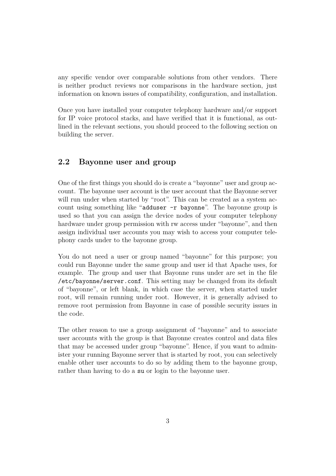any specific vendor over comparable solutions from other vendors. There is neither product reviews nor comparisons in the hardware section, just information on known issues of compatibility, configuration, and installation.

Once you have installed your computer telephony hardware and/or support for IP voice protocol stacks, and have verified that it is functional, as outlined in the relevant sections, you should proceed to the following section on building the server.

#### <span id="page-5-0"></span>**2.2 Bayonne user and group**

One of the first things you should do is create a "bayonne" user and group account. The bayonne user account is the user account that the Bayonne server will run under when started by "root". This can be created as a system account using something like "adduser -r bayonne". The bayonne group is used so that you can assign the device nodes of your computer telephony hardware under group permission with rw access under "bayonne", and then assign individual user accounts you may wish to access your computer telephony cards under to the bayonne group.

You do not need a user or group named "bayonne" for this purpose; you could run Bayonne under the same group and user id that Apache uses, for example. The group and user that Bayonne runs under are set in the file /etc/bayonne/server.conf. This setting may be changed from its default of "bayonne", or left blank, in which case the server, when started under root, will remain running under root. However, it is generally advised to remove root permission from Bayonne in case of possible security issues in the code.

The other reason to use a group assignment of "bayonne" and to associate user accounts with the group is that Bayonne creates control and data files that may be accessed under group "bayonne". Hence, if you want to administer your running Bayonne server that is started by root, you can selectively enable other user accounts to do so by adding them to the bayonne group, rather than having to do a su or login to the bayonne user.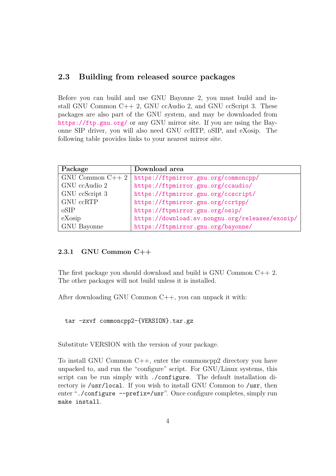# <span id="page-6-0"></span>**2.3 Building from released source packages**

Before you can build and use GNU Bayonne 2, you must build and install GNU Common C++ 2, GNU ccAudio 2, and GNU ccScript 3. These packages are also part of the GNU system, and may be downloaded from <https://ftp.gnu.org/> or any GNU mirror site. If you are using the Bayonne SIP driver, you will also need GNU ccRTP, oSIP, and eXosip. The following table provides links to your nearest mirror site.

| Package                  | Download area                                   |
|--------------------------|-------------------------------------------------|
| $GNU\text{ Common }C++2$ | https://ftpmirror.gnu.org/commoncpp/            |
| GNU ccAudio 2            | https://ftpmirror.gnu.org/ccaudio/              |
| GNU ccScript 3           | https://ftpmirror.gnu.org/ccscript/             |
| GNU ccRTP                | https://ftpmirror.gnu.org/ccrtpp/               |
| oSIP                     | https://ftpmirror.gnu.org/osip/                 |
| eXosip                   | https://download.sv.nongnu.org/releases/exosip/ |
| GNU Bayonne              | https://ftpmirror.gnu.org/bayonne/              |

#### <span id="page-6-1"></span>**2.3.1 GNU Common C++**

The first package you should download and build is GNU Common  $C_{++}$  2. The other packages will not build unless it is installed.

After downloading GNU Common C++, you can unpack it with:

tar -zxvf commoncpp2-{VERSION}.tar.gz

Substitute VERSION with the version of your package.

To install GNU Common C++, enter the commoncpp2 directory you have unpacked to, and run the "configure" script. For GNU/Linux systems, this script can be run simply with ./configure. The default installation directory is /usr/local. If you wish to install GNU Common to /usr, then enter "./configure --prefix=/usr". Once configure completes, simply run make install.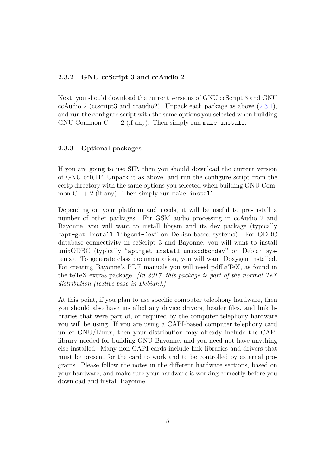#### <span id="page-7-0"></span>**2.3.2 GNU ccScript 3 and ccAudio 2**

Next, you should download the current versions of GNU ccScript 3 and GNU ccAudio 2 (ccscript3 and ccaudio2). Unpack each package as above  $(2.3.1)$ , and run the configure script with the same options you selected when building GNU Common  $C_{++}$  2 (if any). Then simply run make install.

#### <span id="page-7-1"></span>**2.3.3 Optional packages**

If you are going to use SIP, then you should download the current version of GNU ccRTP. Unpack it as above, and run the configure script from the ccrtp directory with the same options you selected when building GNU Common  $C++ 2$  (if any). Then simply run make install.

Depending on your platform and needs, it will be useful to pre-install a number of other packages. For GSM audio processing in ccAudio 2 and Bayonne, you will want to install libgsm and its dev package (typically "apt-get install libgsm1-dev" on Debian-based systems). For ODBC database connectivity in ccScript 3 and Bayonne, you will want to install unixODBC (typically "apt-get install unixodbc-dev" on Debian systems). To generate class documentation, you will want Doxygen installed. For creating Bayonne's PDF manuals you will need pdfLaTeX, as found in the teTeX extras package. *[In 2017, this package is part of the normal TeX distribution (texlive-base in Debian).]*

At this point, if you plan to use specific computer telephony hardware, then you should also have installed any device drivers, header files, and link libraries that were part of, or required by the computer telephony hardware you will be using. If you are using a CAPI-based computer telephony card under GNU/Linux, then your distribution may already include the CAPI library needed for building GNU Bayonne, and you need not have anything else installed. Many non-CAPI cards include link libraries and drivers that must be present for the card to work and to be controlled by external programs. Please follow the notes in the different hardware sections, based on your hardware, and make sure your hardware is working correctly before you download and install Bayonne.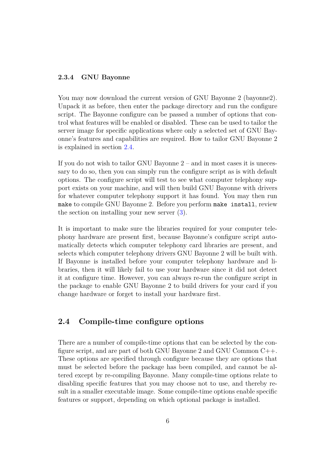#### <span id="page-8-0"></span>**2.3.4 GNU Bayonne**

You may now download the current version of GNU Bayonne 2 (bayonne 2). Unpack it as before, then enter the package directory and run the configure script. The Bayonne configure can be passed a number of options that control what features will be enabled or disabled. These can be used to tailor the server image for specific applications where only a selected set of GNU Bayonne's features and capabilities are required. How to tailor GNU Bayonne 2 is explained in section [2.4.](#page-8-1)

If you do not wish to tailor GNU Bayonne 2 – and in most cases it is unecessary to do so, then you can simply run the configure script as is with default options. The configure script will test to see what computer telephony support exists on your machine, and will then build GNU Bayonne with drivers for whatever computer telephony support it has found. You may then run make to compile GNU Bayonne 2. Before you perform make install, review the section on installing your new server [\(3\)](#page-12-0).

It is important to make sure the libraries required for your computer telephony hardware are present first, because Bayonne's configure script automatically detects which computer telephony card libraries are present, and selects which computer telephony drivers GNU Bayonne 2 will be built with. If Bayonne is installed before your computer telephony hardware and libraries, then it will likely fail to use your hardware since it did not detect it at configure time. However, you can always re-run the configure script in the package to enable GNU Bayonne 2 to build drivers for your card if you change hardware or forget to install your hardware first.

#### <span id="page-8-1"></span>**2.4 Compile-time configure options**

There are a number of compile-time options that can be selected by the configure script, and are part of both GNU Bayonne 2 and GNU Common C++. These options are specified through configure because they are options that must be selected before the package has been compiled, and cannot be altered except by re-compiling Bayonne. Many compile-time options relate to disabling specific features that you may choose not to use, and thereby result in a smaller executable image. Some compile-time options enable specific features or support, depending on which optional package is installed.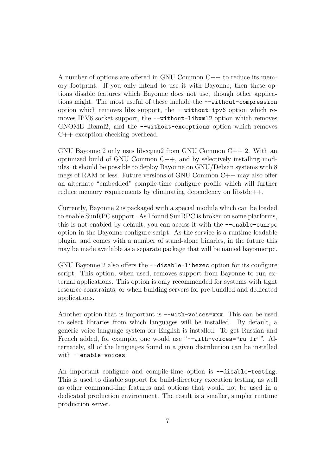A number of options are offered in GNU Common C++ to reduce its memory footprint. If you only intend to use it with Bayonne, then these options disable features which Bayonne does not use, though other applications might. The most useful of these include the --without-compression option which removes libz support, the --without-ipv6 option which removes IPV6 socket support, the --without-libxml2 option which removes GNOME libxml2, and the --without-exceptions option which removes C++ exception-checking overhead.

GNU Bayonne 2 only uses libccgnu2 from GNU Common C++ 2. With an optimized build of GNU Common  $C_{++}$ , and by selectively installing modules, it should be possible to deploy Bayonne on GNU/Debian systems with 8 megs of RAM or less. Future versions of GNU Common C++ may also offer an alternate "embedded" compile-time configure profile which will further reduce memory requirements by eliminating dependency on libstdc++.

Currently, Bayonne 2 is packaged with a special module which can be loaded to enable SunRPC support. As I found SunRPC is broken on some platforms, this is not enabled by default; you can access it with the  $\neg$ -enable-sunrpc option in the Bayonne configure script. As the service is a runtime loadable plugin, and comes with a number of stand-alone binaries, in the future this may be made available as a separate package that will be named bayonnerpc.

GNU Bayonne 2 also offers the --disable-libexec option for its configure script. This option, when used, removes support from Bayonne to run external applications. This option is only recommended for systems with tight resource constraints, or when building servers for pre-bundled and dedicated applications.

Another option that is important is  $-\text{with}-\text{voices}=xxx$ . This can be used to select libraries from which languages will be installed. By default, a generic voice language system for English is installed. To get Russian and French added, for example, one would use "--with-voices="ru fr"". Alternately, all of the languages found in a given distribution can be installed with --enable-voices.

An important configure and compile-time option is --disable-testing. This is used to disable support for build-directory execution testing, as well as other command-line features and options that would not be used in a dedicated production environment. The result is a smaller, simpler runtime production server.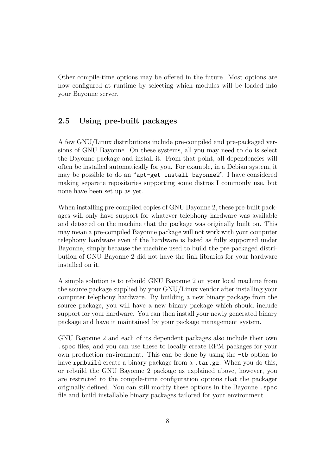Other compile-time options may be offered in the future. Most options are now configured at runtime by selecting which modules will be loaded into your Bayonne server.

# <span id="page-10-0"></span>**2.5 Using pre-built packages**

A few GNU/Linux distributions include pre-compiled and pre-packaged versions of GNU Bayonne. On these systems, all you may need to do is select the Bayonne package and install it. From that point, all dependencies will often be installed automatically for you. For example, in a Debian system, it may be possible to do an "apt-get install bayonne2". I have considered making separate repositories supporting some distros I commonly use, but none have been set up as yet.

When installing pre-compiled copies of GNU Bayonne 2, these pre-built packages will only have support for whatever telephony hardware was available and detected on the machine that the package was originally built on. This may mean a pre-compiled Bayonne package will not work with your computer telephony hardware even if the hardware is listed as fully supported under Bayonne, simply because the machine used to build the pre-packaged distribution of GNU Bayonne 2 did not have the link libraries for your hardware installed on it.

A simple solution is to rebuild GNU Bayonne 2 on your local machine from the source package supplied by your GNU/Linux vendor after installing your computer telephony hardware. By building a new binary package from the source package, you will have a new binary package which should include support for your hardware. You can then install your newly generated binary package and have it maintained by your package management system.

GNU Bayonne 2 and each of its dependent packages also include their own .spec files, and you can use these to locally create RPM packages for your own production environment. This can be done by using the -tb option to have rpmbuild create a binary package from a .tar.gz. When you do this, or rebuild the GNU Bayonne 2 package as explained above, however, you are restricted to the compile-time configuration options that the packager originally defined. You can still modify these options in the Bayonne .spec file and build installable binary packages tailored for your environment.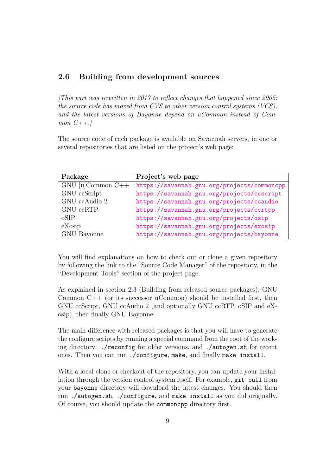#### <span id="page-11-0"></span>**2.6 Building from development sources**

*[This part was rewritten in 2017 to reflect changes that happened since 2005: the source code has moved from CVS to other version control systems (VCS), and the latest versions of Bayonne depend on uCommon instead of Common C++.]*

The source code of each package is available on Savannah servers, in one or several repositories that are listed on the project's web page:

| Package               | Project's web page                          |
|-----------------------|---------------------------------------------|
| $GNU$ [u]Common $C++$ | https://savannah.gnu.org/projects/commoncpp |
| GNU ccScript          | https://savannah.gnu.org/projects/ccscript  |
| GNU ccAudio 2         | https://savannah.gnu.org/projects/ccaudio   |
| GNU ccRTP             | https://savannah.gnu.org/projects/ccrtpp    |
| oSIP                  | https://savannah.gnu.org/projects/osip      |
| eXosip                | https://savannah.gnu.org/projects/exosip    |
| GNU Bayonne           | https://savannah.gnu.org/projects/bayonne   |

You will find explanations on how to check out or clone a given repository by following the link to the "Source Code Manager" of the repository, in the "Development Tools" section of the project page.

As explained in section [2.3](#page-6-0) (Building from released source packages), GNU Common C++ (or its successor uCommon) should be installed first, then GNU ccScript, GNU ccAudio 2 (and optionally GNU ccRTP, oSIP and eXosip), then finally GNU Bayonne.

The main difference with released packages is that you will have to generate the configure scripts by running a special command from the root of the working directory: ./reconfig for older versions, and ./autogen.sh for recent ones. Then you can run ./configure, make, and finally make install.

With a local clone or checkout of the repository, you can update your installation through the version control system itself. For example, git pull from your bayonne directory will download the latest changes. You should then run ./autogen.sh, ./configure, and make install as you did originally. Of course, you should update the commoncpp directory first.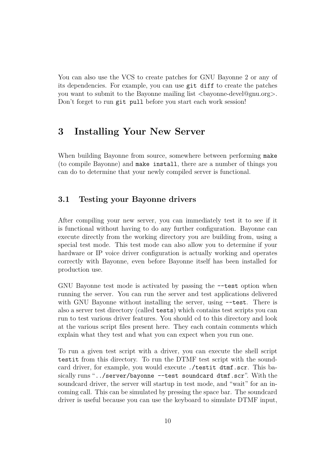You can also use the VCS to create patches for GNU Bayonne 2 or any of its dependencies. For example, you can use git diff to create the patches you want to submit to the Bayonne mailing list  $\langle$ bayonne-devel@gnu.org $\rangle$ . Don't forget to run git pull before you start each work session!

# <span id="page-12-0"></span>**3 Installing Your New Server**

When building Bayonne from source, somewhere between performing make (to compile Bayonne) and make install, there are a number of things you can do to determine that your newly compiled server is functional.

#### <span id="page-12-1"></span>**3.1 Testing your Bayonne drivers**

After compiling your new server, you can immediately test it to see if it is functional without having to do any further configuration. Bayonne can execute directly from the working directory you are building from, using a special test mode. This test mode can also allow you to determine if your hardware or IP voice driver configuration is actually working and operates correctly with Bayonne, even before Bayonne itself has been installed for production use.

GNU Bayonne test mode is activated by passing the --test option when running the server. You can run the server and test applications delivered with GNU Bayonne without installing the server, using  $-\text{test}$ . There is also a server test directory (called tests) which contains test scripts you can run to test various driver features. You should cd to this directory and look at the various script files present here. They each contain comments which explain what they test and what you can expect when you run one.

To run a given test script with a driver, you can execute the shell script testit from this directory. To run the DTMF test script with the soundcard driver, for example, you would execute ./testit dtmf.scr. This basically runs "../server/bayonne --test soundcard dtmf.scr". With the soundcard driver, the server will startup in test mode, and "wait" for an incoming call. This can be simulated by pressing the space bar. The soundcard driver is useful because you can use the keyboard to simulate DTMF input,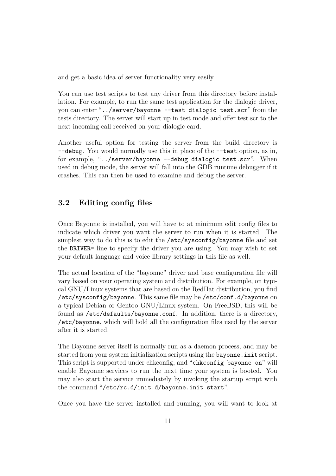and get a basic idea of server functionality very easily.

You can use test scripts to test any driver from this directory before installation. For example, to run the same test application for the dialogic driver, you can enter "../server/bayonne --test dialogic test.scr" from the tests directory. The server will start up in test mode and offer test.scr to the next incoming call received on your dialogic card.

Another useful option for testing the server from the build directory is --debug. You would normally use this in place of the --test option, as in, for example, "../server/bayonne --debug dialogic test.scr". When used in debug mode, the server will fall into the GDB runtime debugger if it crashes. This can then be used to examine and debug the server.

# <span id="page-13-0"></span>**3.2 Editing config files**

Once Bayonne is installed, you will have to at minimum edit config files to indicate which driver you want the server to run when it is started. The simplest way to do this is to edit the /etc/sysconfig/bayonne file and set the DRIVER= line to specify the driver you are using. You may wish to set your default language and voice library settings in this file as well.

The actual location of the "bayonne" driver and base configuration file will vary based on your operating system and distribution. For example, on typical GNU/Linux systems that are based on the RedHat distribution, you find /etc/sysconfig/bayonne. This same file may be /etc/conf.d/bayonne on a typical Debian or Gentoo GNU/Linux system. On FreeBSD, this will be found as /etc/defaults/bayonne.conf. In addition, there is a directory, /etc/bayonne, which will hold all the configuration files used by the server after it is started.

The Bayonne server itself is normally run as a daemon process, and may be started from your system initialization scripts using the bayonne.init script. This script is supported under chkconfig, and "chkconfig bayonne on" will enable Bayonne services to run the next time your system is booted. You may also start the service immediately by invoking the startup script with the command "/etc/rc.d/init.d/bayonne.init start".

Once you have the server installed and running, you will want to look at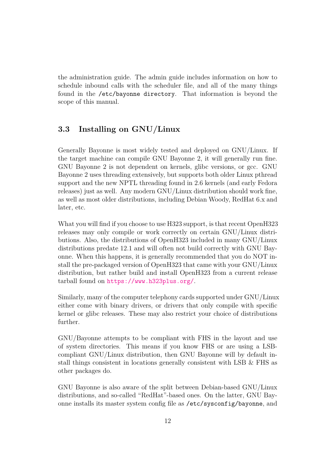the administration guide. The admin guide includes information on how to schedule inbound calls with the scheduler file, and all of the many things found in the /etc/bayonne directory. That information is beyond the scope of this manual.

## <span id="page-14-0"></span>**3.3 Installing on GNU/Linux**

Generally Bayonne is most widely tested and deployed on GNU/Linux. If the target machine can compile GNU Bayonne 2, it will generally run fine. GNU Bayonne 2 is not dependent on kernels, glibc versions, or gcc. GNU Bayonne 2 uses threading extensively, but supports both older Linux pthread support and the new NPTL threading found in 2.6 kernels (and early Fedora releases) just as well. Any modern GNU/Linux distribution should work fine, as well as most older distributions, including Debian Woody, RedHat 6.x and later, etc.

What you will find if you choose to use H323 support, is that recent OpenH323 releases may only compile or work correctly on certain GNU/Linux distributions. Also, the distributions of OpenH323 included in many GNU/Linux distributions predate 12.1 and will often not build correctly with GNU Bayonne. When this happens, it is generally recommended that you do NOT install the pre-packaged version of OpenH323 that came with your GNU/Linux distribution, but rather build and install OpenH323 from a current release tarball found on <https://www.h323plus.org/>.

Similarly, many of the computer telephony cards supported under GNU/Linux either come with binary drivers, or drivers that only compile with specific kernel or glibc releases. These may also restrict your choice of distributions further.

GNU/Bayonne attempts to be compliant with FHS in the layout and use of system directories. This means if you know FHS or are using a LSBcompliant GNU/Linux distribution, then GNU Bayonne will by default install things consistent in locations generally consistent with LSB & FHS as other packages do.

GNU Bayonne is also aware of the split between Debian-based GNU/Linux distributions, and so-called "RedHat"-based ones. On the latter, GNU Bayonne installs its master system config file as /etc/sysconfig/bayonne, and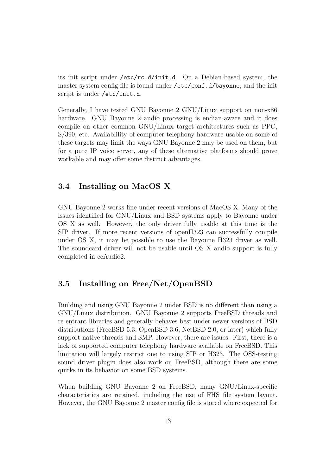its init script under /etc/rc.d/init.d. On a Debian-based system, the master system config file is found under /etc/conf.d/bayonne, and the init script is under /etc/init.d.

Generally, I have tested GNU Bayonne 2 GNU/Linux support on non-x86 hardware. GNU Bayonne 2 audio processing is endian-aware and it does compile on other common GNU/Linux target architectures such as PPC, S/390, etc. Availablility of computer telephony hardware usable on some of these targets may limit the ways GNU Bayonne 2 may be used on them, but for a pure IP voice server, any of these alternative platforms should prove workable and may offer some distinct advantages.

#### <span id="page-15-0"></span>**3.4 Installing on MacOS X**

GNU Bayonne 2 works fine under recent versions of MacOS X. Many of the issues identified for GNU/Linux and BSD systems apply to Bayonne under OS X as well. However, the only driver fully usable at this time is the SIP driver. If more recent versions of openH323 can successfully compile under OS X, it may be possible to use the Bayonne H323 driver as well. The soundcard driver will not be usable until OS X audio support is fully completed in ccAudio2.

#### <span id="page-15-1"></span>**3.5 Installing on Free/Net/OpenBSD**

Building and using GNU Bayonne 2 under BSD is no different than using a GNU/Linux distribution. GNU Bayonne 2 supports FreeBSD threads and re-entrant libraries and generally behaves best under newer versions of BSD distributions (FreeBSD 5.3, OpenBSD 3.6, NetBSD 2.0, or later) which fully support native threads and SMP. However, there are issues. First, there is a lack of supported computer telephony hardware available on FreeBSD. This limitation will largely restrict one to using SIP or H323. The OSS-testing sound driver plugin does also work on FreeBSD, although there are some quirks in its behavior on some BSD systems.

When building GNU Bayonne 2 on FreeBSD, many GNU/Linux-specific characteristics are retained, including the use of FHS file system layout. However, the GNU Bayonne 2 master config file is stored where expected for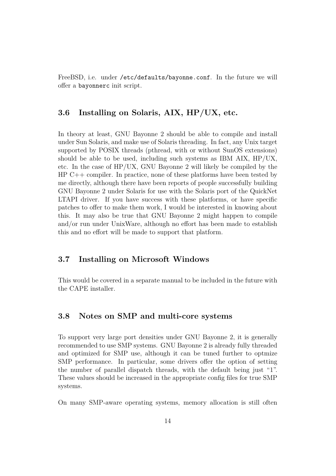FreeBSD, i.e. under /etc/defaults/bayonne.conf. In the future we will offer a bayonnerc init script.

## <span id="page-16-0"></span>**3.6 Installing on Solaris, AIX, HP/UX, etc.**

In theory at least, GNU Bayonne 2 should be able to compile and install under Sun Solaris, and make use of Solaris threading. In fact, any Unix target supported by POSIX threads (pthread, with or without SunOS extensions) should be able to be used, including such systems as IBM AIX, HP/UX, etc. In the case of HP/UX, GNU Bayonne 2 will likely be compiled by the HP C++ compiler. In practice, none of these platforms have been tested by me directly, although there have been reports of people successfully building GNU Bayonne 2 under Solaris for use with the Solaris port of the QuickNet LTAPI driver. If you have success with these platforms, or have specific patches to offer to make them work, I would be interested in knowing about this. It may also be true that GNU Bayonne 2 might happen to compile and/or run under UnixWare, although no effort has been made to establish this and no effort will be made to support that platform.

#### <span id="page-16-1"></span>**3.7 Installing on Microsoft Windows**

This would be covered in a separate manual to be included in the future with the CAPE installer.

#### <span id="page-16-2"></span>**3.8 Notes on SMP and multi-core systems**

To support very large port densities under GNU Bayonne 2, it is generally recommended to use SMP systems. GNU Bayonne 2 is already fully threaded and optimized for SMP use, although it can be tuned further to optmize SMP performance. In particular, some drivers offer the option of setting the number of parallel dispatch threads, with the default being just "1". These values should be increased in the appropriate config files for true SMP systems.

On many SMP-aware operating systems, memory allocation is still often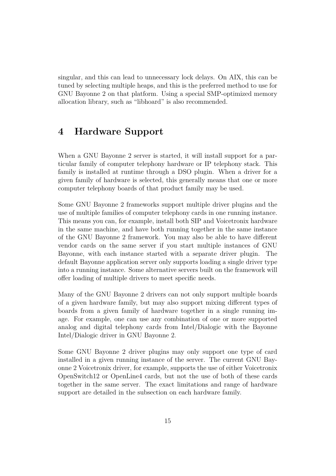singular, and this can lead to unnecessary lock delays. On AIX, this can be tuned by selecting multiple heaps, and this is the preferred method to use for GNU Bayonne 2 on that platform. Using a special SMP-optimized memory allocation library, such as "libhoard" is also recommended.

# <span id="page-17-0"></span>**4 Hardware Support**

When a GNU Bayonne 2 server is started, it will install support for a particular family of computer telephony hardware or IP telephony stack. This family is installed at runtime through a DSO plugin. When a driver for a given family of hardware is selected, this generally means that one or more computer telephony boards of that product family may be used.

Some GNU Bayonne 2 frameworks support multiple driver plugins and the use of multiple families of computer telephony cards in one running instance. This means you can, for example, install both SIP and Voicetronix hardware in the same machine, and have both running together in the same instance of the GNU Bayonne 2 framework. You may also be able to have different vendor cards on the same server if you start multiple instances of GNU Bayonne, with each instance started with a separate driver plugin. The default Bayonne application server only supports loading a single driver type into a running instance. Some alternative servers built on the framework will offer loading of multiple drivers to meet specific needs.

Many of the GNU Bayonne 2 drivers can not only support multiple boards of a given hardware family, but may also support mixing different types of boards from a given family of hardware together in a single running image. For example, one can use any combination of one or more supported analog and digital telephony cards from Intel/Dialogic with the Bayonne Intel/Dialogic driver in GNU Bayonne 2.

Some GNU Bayonne 2 driver plugins may only support one type of card installed in a given running instance of the server. The current GNU Bayonne 2 Voicetronix driver, for example, supports the use of either Voicetronix OpenSwitch12 or OpenLine4 cards, but not the use of both of these cards together in the same server. The exact limitations and range of hardware support are detailed in the subsection on each hardware family.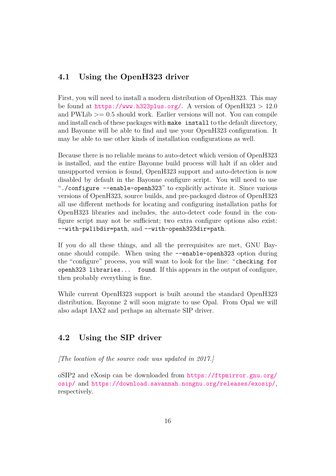# <span id="page-18-0"></span>**4.1 Using the OpenH323 driver**

First, you will need to install a modern distribution of OpenH323. This may be found at  $https://www.h323plus.org/$ . A version of OpenH323 > 12.0 and  $PWLib \geq 0.5$  should work. Earlier versions will not. You can compile and install each of these packages with make install to the default directory, and Bayonne will be able to find and use your OpenH323 configuration. It may be able to use other kinds of installation configurations as well.

Because there is no reliable means to auto-detect which version of OpenH323 is installed, and the entire Bayonne build process will halt if an older and unsupported version is found, OpenH323 support and auto-detection is now disabled by default in the Bayonne configure script. You will need to use "./configure --enable-openh323" to explicitly activate it. Since various versions of OpenH323, source builds, and pre-packaged distros of OpenH323 all use different methods for locating and configuring installation paths for OpenH323 libraries and includes, the auto-detect code found in the configure script may not be sufficient; two extra configure options also exist: --with-pwlibdir=path, and --with-openh323dir=path.

If you do all these things, and all the prerequisites are met, GNU Bayonne should compile. When using the --enable-openh323 option during the "configure" process, you will want to look for the line: "checking for openh323 libraries... found. If this appears in the output of configure, then probably everything is fine.

While current OpenH323 support is built around the standard OpenH323 distribution, Bayonne 2 will soon migrate to use Opal. From Opal we will also adapt IAX2 and perhaps an alternate SIP driver.

## <span id="page-18-1"></span>**4.2 Using the SIP driver**

*[The location of the source code was updated in 2017.]*

oSIP2 and eXosip can be downloaded from [https://ftpmirror.gnu.org/](https://ftpmirror.gnu.org/osip/) [osip/](https://ftpmirror.gnu.org/osip/) and <https://download.savannah.nongnu.org/releases/exosip/>, respectively.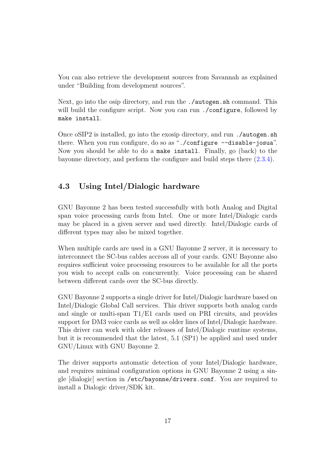You can also retrieve the development sources from Savannah as explained under "Building from development sources".

Next, go into the osip directory, and run the ./autogen.sh command. This will build the configure script. Now you can run ./configure, followed by make install.

Once oSIP2 is installed, go into the exosip directory, and run ./autogen.sh there. When you run configure, do so as "./configure --disable-josua". Now you should be able to do a make install. Finally, go (back) to the bayonne directory, and perform the configure and build steps there [\(2.3.4\)](#page-8-0).

#### <span id="page-19-0"></span>**4.3 Using Intel/Dialogic hardware**

GNU Bayonne 2 has been tested successfully with both Analog and Digital span voice processing cards from Intel. One or more Intel/Dialogic cards may be placed in a given server and used directly. Intel/Dialogic cards of different types may also be mixed together.

When multiple cards are used in a GNU Bayonne 2 server, it is necessary to interconnect the SC-bus cables accross all of your cards. GNU Bayonne also requires sufficient voice processing resources to be available for all the ports you wish to accept calls on concurrently. Voice processing can be shared between different cards over the SC-bus directly.

GNU Bayonne 2 supports a single driver for Intel/Dialogic hardware based on Intel/Dialogic Global Call services. This driver supports both analog cards and single or multi-span T1/E1 cards used on PRI circuits, and provides support for DM3 voice cards as well as older lines of Intel/Dialogic hardware. This driver can work with older releases of Intel/Dialogic runtime systems, but it is recommended that the latest, 5.1 (SP1) be applied and used under GNU/Linux with GNU Bayonne 2.

The driver supports automatic detection of your Intel/Dialogic hardware, and requires minimal configuration options in GNU Bayonne 2 using a single [dialogic] section in /etc/bayonne/drivers.conf. You are required to install a Dialogic driver/SDK kit.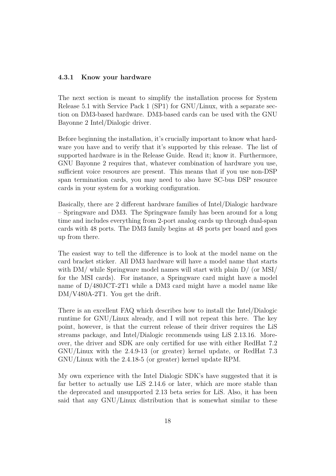#### <span id="page-20-0"></span>**4.3.1 Know your hardware**

The next section is meant to simplify the installation process for System Release 5.1 with Service Pack 1 (SP1) for GNU/Linux, with a separate section on DM3-based hardware. DM3-based cards can be used with the GNU Bayonne 2 Intel/Dialogic driver.

Before beginning the installation, it's crucially important to know what hardware you have and to verify that it's supported by this release. The list of supported hardware is in the Release Guide. Read it; know it. Furthermore, GNU Bayonne 2 requires that, whatever combination of hardware you use, sufficient voice resources are present. This means that if you use non-DSP span termination cards, you may need to also have SC-bus DSP resource cards in your system for a working configuration.

Basically, there are 2 different hardware families of Intel/Dialogic hardware – Springware and DM3. The Springware family has been around for a long time and includes everything from 2-port analog cards up through dual-span cards with 48 ports. The DM3 family begins at 48 ports per board and goes up from there.

The easiest way to tell the difference is to look at the model name on the card bracket sticker. All DM3 hardware will have a model name that starts with DM/ while Springware model names will start with plain  $D/$  (or MSI/ for the MSI cards). For instance, a Springware card might have a model name of D/480JCT-2T1 while a DM3 card might have a model name like DM/V480A-2T1. You get the drift.

There is an excellent FAQ which describes how to install the Intel/Dialogic runtime for GNU/Linux already, and I will not repeat this here. The key point, however, is that the current release of their driver requires the LiS streams package, and Intel/Dialogic recommends using LiS 2.13.16. Moreover, the driver and SDK are only certified for use with either RedHat 7.2 GNU/Linux with the 2.4.9-13 (or greater) kernel update, or RedHat 7.3 GNU/Linux with the 2.4.18-5 (or greater) kernel update RPM.

My own experience with the Intel Dialogic SDK's have suggested that it is far better to actually use LiS 2.14.6 or later, which are more stable than the deprecated and unsupported 2.13 beta series for LiS. Also, it has been said that any GNU/Linux distribution that is somewhat similar to these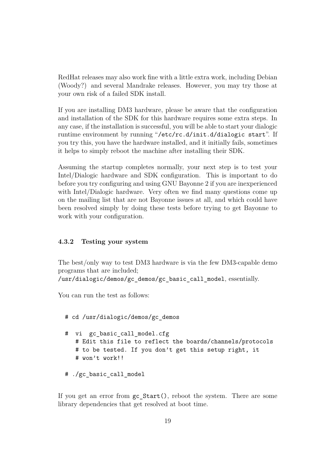RedHat releases may also work fine with a little extra work, including Debian (Woody?) and several Mandrake releases. However, you may try those at your own risk of a failed SDK install.

If you are installing DM3 hardware, please be aware that the configuration and installation of the SDK for this hardware requires some extra steps. In any case, if the installation is successful, you will be able to start your dialogic runtime environment by running "/etc/rc.d/init.d/dialogic start". If you try this, you have the hardware installed, and it initially fails, sometimes it helps to simply reboot the machine after installing their SDK.

Assuming the startup completes normally, your next step is to test your Intel/Dialogic hardware and SDK configuration. This is important to do before you try configuring and using GNU Bayonne 2 if you are inexperienced with Intel/Dialogic hardware. Very often we find many questions come up on the mailing list that are not Bayonne issues at all, and which could have been resolved simply by doing these tests before trying to get Bayonne to work with your configuration.

#### <span id="page-21-0"></span>**4.3.2 Testing your system**

The best/only way to test DM3 hardware is via the few DM3-capable demo programs that are included;

/usr/dialogic/demos/gc\_demos/gc\_basic\_call\_model, essentially.

You can run the test as follows:

```
# cd /usr/dialogic/demos/gc_demos
# vi gc basic call model.cfg
   # Edit this file to reflect the boards/channels/protocols
   # to be tested. If you don't get this setup right, it
   # won't work!!
```
# ./gc basic call model

If you get an error from gc\_Start(), reboot the system. There are some library dependencies that get resolved at boot time.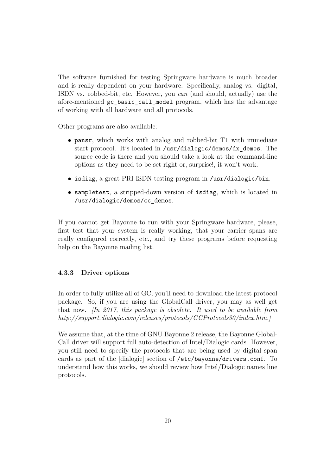The software furnished for testing Springware hardware is much broader and is really dependent on your hardware. Specifically, analog vs. digital, ISDN vs. robbed-bit, etc. However, you *can* (and should, actually) use the afore-mentioned gc\_basic\_call\_model program, which has the advantage of working with all hardware and all protocols.

Other programs are also available:

- pansr, which works with analog and robbed-bit T1 with immediate start protocol. It's located in /usr/dialogic/demos/dx\_demos. The source code is there and you should take a look at the command-line options as they need to be set right or, surprise!, it won't work.
- isdiag, a great PRI ISDN testing program in /usr/dialogic/bin.
- sampletest, a stripped-down version of isdiag, which is located in /usr/dialogic/demos/cc\_demos.

If you cannot get Bayonne to run with your Springware hardware, please, first test that your system is really working, that your carrier spans are really configured correctly, etc., and try these programs before requesting help on the Bayonne mailing list.

#### <span id="page-22-0"></span>**4.3.3 Driver options**

In order to fully utilize all of GC, you'll need to download the latest protocol package. So, if you are using the GlobalCall driver, you may as well get that now. *[In 2017, this package is obsolete. It used to be available from http://support.dialogic.com/releases/protocols/GCProtocols30/index.htm.]*

We assume that, at the time of GNU Bayonne 2 release, the Bayonne Global-Call driver will support full auto-detection of Intel/Dialogic cards. However, you still need to specify the protocols that are being used by digital span cards as part of the [dialogic] section of /etc/bayonne/drivers.conf. To understand how this works, we should review how Intel/Dialogic names line protocols.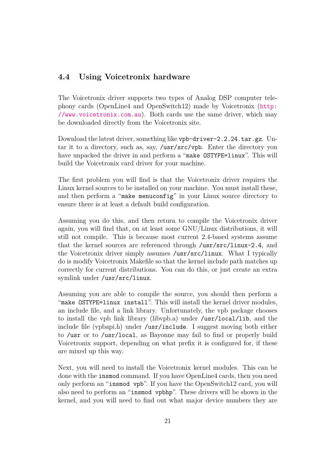## <span id="page-23-0"></span>**4.4 Using Voicetronix hardware**

The Voicetronix driver supports two types of Analog DSP computer telephony cards (OpenLine4 and OpenSwitch12) made by Voicetronix ([http:](http://www.voicetronix.com.au) [//www.voicetronix.com.au](http://www.voicetronix.com.au)). Both cards use the same driver, which may be downloaded directly from the Voicetronix site.

Download the latest driver, something like vpb-driver-2.2.24.tar.gz. Untar it to a directory, such as, say, /usr/src/vpb. Enter the directory you have unpacked the driver in and perform a "make OSTYPE=linux". This will build the Voicetronix card driver for your machine.

The first problem you will find is that the Voicetronix driver requires the Linux kernel sources to be installed on your machine. You must install these, and then perform a "make menuconfig" in your Linux source directory to ensure there is at least a default build configuration.

Assuming you do this, and then return to compile the Voicetronix driver again, you will find that, on at least some GNU/Linux distributions, it will still not compile. This is because most current 2.4-based systems assume that the kernel sources are referenced through /usr/src/linux-2.4, and the Voicetronix driver simply assumes /usr/src/linux. What I typically do is modify Voicetronix Makefile so that the kernel include path matches up correctly for current distributions. You can do this, or just create an extra symlink under /usr/src/linux.

Assuming you are able to compile the source, you should then perform a "make OSTYPE=linux install". This will install the kernel driver modules, an include file, and a link library. Unfortunately, the vpb package chooses to install the vpb link library (libvpb.a) under /usr/local/lib, and the include file (vpbapi.h) under /usr/include. I suggest moving both either to /usr or to /usr/local, as Bayonne may fail to find or properly build Voicetronix support, depending on what prefix it is configured for, if these are mixed up this way.

Next, you will need to install the Voicetronix kernel modules. This can be done with the insmod command. If you have OpenLine4 cards, then you need only perform an "insmod vpb". If you have the OpenSwitch12 card, you will also need to perform an "insmod vpbhp". These drivers will be shown in the kernel, and you will need to find out what major device numbers they are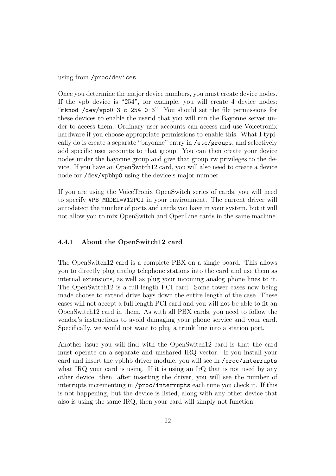using from /proc/devices.

Once you determine the major device numbers, you must create device nodes. If the vpb device is "254", for example, you will create 4 device nodes: "mknod /dev/vpb0-3 c 254 0-3". You should set the file permissions for these devices to enable the userid that you will run the Bayonne server under to access them. Ordinary user accounts can access and use Voicetronix hardware if you choose appropriate permissions to enable this. What I typically do is create a separate "bayonne" entry in /etc/groups, and selectively add specific user accounts to that group. You can then create your device nodes under the bayonne group and give that group rw privileges to the device. If you have an OpenSwitch12 card, you will also need to create a device node for /dev/vpbhp0 using the device's major number.

If you are using the VoiceTronix OpenSwitch series of cards, you will need to specify VPB\_MODEL=V12PCI in your environment. The current driver will autodetect the number of ports and cards you have in your system, but it will not allow you to mix OpenSwitch and OpenLine cards in the same machine.

#### <span id="page-24-0"></span>**4.4.1 About the OpenSwitch12 card**

The OpenSwitch12 card is a complete PBX on a single board. This allows you to directly plug analog telephone stations into the card and use them as internal extensions, as well as plug your incoming analog phone lines to it. The OpenSwitch12 is a full-length PCI card. Some tower cases now being made choose to extend drive bays down the entire length of the case. These cases will not accept a full length PCI card and you will not be able to fit an OpenSwitch12 card in them. As with all PBX cards, you need to follow the vendor's instructions to avoid damaging your phone service and your card. Specifically, we would not want to plug a trunk line into a station port.

Another issue you will find with the OpenSwitch12 card is that the card must operate on a separate and unshared IRQ vector. If you install your card and insert the vpbhb driver module, you will see in /proc/interrupts what IRQ your card is using. If it is using an IrQ that is not used by any other device, then, after inserting the driver, you will see the number of interrupts incrementing in /proc/interrupts each time you check it. If this is not happening, but the device is listed, along with any other device that also is using the same IRQ, then your card will simply not function.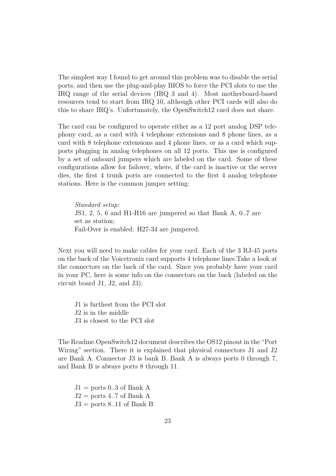The simplest way I found to get around this problem was to disable the serial ports, and then use the plug-and-play BIOS to force the PCI slots to use the IRQ range of the serial devices (IRQ 3 and 4). Most motherboard-based resources tend to start from IRQ 10, although other PCI cards will also do this to share IRQ's. Unfortunately, the OpenSwitch12 card does not share.

The card can be configured to operate either as a 12 port analog DSP telephony card, as a card with 4 telephone extensions and 8 phone lines, as a card with 8 telephone extensions and 4 phone lines, or as a card which supports plugging in analog telephones on all 12 ports. This use is configured by a set of onboard jumpers which are labeled on the card. Some of these configurations allow for failover, where, if the card is inactive or the server dies, the first 4 trunk ports are connected to the first 4 analog telephone stations. Here is the common jumper setting:

*Standard setup:* JS1, 2, 5, 6 and H1-H16 are jumpered so that Bank A, 0..7 are set as station; Fail-Over is enabled: H27-34 are jumpered.

Next you will need to make cables for your card. Each of the 3 RJ-45 ports on the back of the Voicetronix card supports 4 telephone lines.Take a look at the connectors on the back of the card. Since you probably have your card in your PC, here is some info on the connectors on the back (labeled on the circuit board J1, J2, and J3):

J1 is furthest from the PCI slot J2 is in the middle J3 is closest to the PCI slot

The Readme.OpenSwitch12 document describes the OS12 pinout in the "Port Wiring" section. There it is explained that physical connectors J1 and J2 are Bank A. Connector J3 is bank B. Bank A is always ports 0 through 7, and Bank B is always ports 8 through 11.

 $J1 =$  ports 0..3 of Bank A  $J2 =$  ports 4..7 of Bank A  $J3 =$  ports 8..11 of Bank B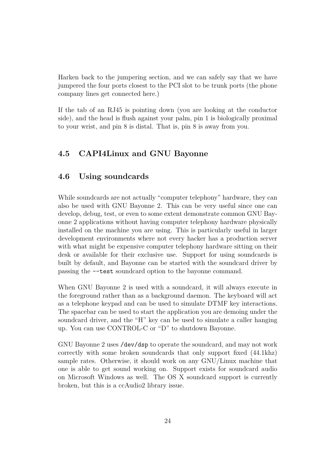Harken back to the jumpering section, and we can safely say that we have jumpered the four ports closest to the PCI slot to be trunk ports (the phone company lines get connected here.)

If the tab of an RJ45 is pointing down (you are looking at the conductor side), and the head is flush against your palm, pin 1 is biologically proximal to your wrist, and pin 8 is distal. That is, pin 8 is away from you.

#### <span id="page-26-0"></span>**4.5 CAPI4Linux and GNU Bayonne**

#### <span id="page-26-1"></span>**4.6 Using soundcards**

While soundcards are not actually "computer telephony" hardware, they can also be used with GNU Bayonne 2. This can be very useful since one can develop, debug, test, or even to some extent demonstrate common GNU Bayonne 2 applications without having computer telephony hardware physically installed on the machine you are using. This is particularly useful in larger development environments where not every hacker has a production server with what might be expensive computer telephony hardware sitting on their desk or available for their exclusive use. Support for using soundcards is built by default, and Bayonne can be started with the soundcard driver by passing the --test soundcard option to the bayonne command.

When GNU Bayonne 2 is used with a soundcard, it will always execute in the foreground rather than as a background daemon. The keyboard will act as a telephone keypad and can be used to simulate DTMF key interactions. The spacebar can be used to start the application you are demoing under the soundcard driver, and the "H" key can be used to simulate a caller hanging up. You can use CONTROL-C or "D" to shutdown Bayonne.

GNU Bayonne 2 uses /dev/dsp to operate the soundcard, and may not work correctly with some broken soundcards that only support fixed (44.1khz) sample rates. Otherwise, it should work on any GNU/Linux machine that one is able to get sound working on. Support exists for soundcard audio on Microsoft Windows as well. The OS X soundcard support is currently broken, but this is a ccAudio2 library issue.